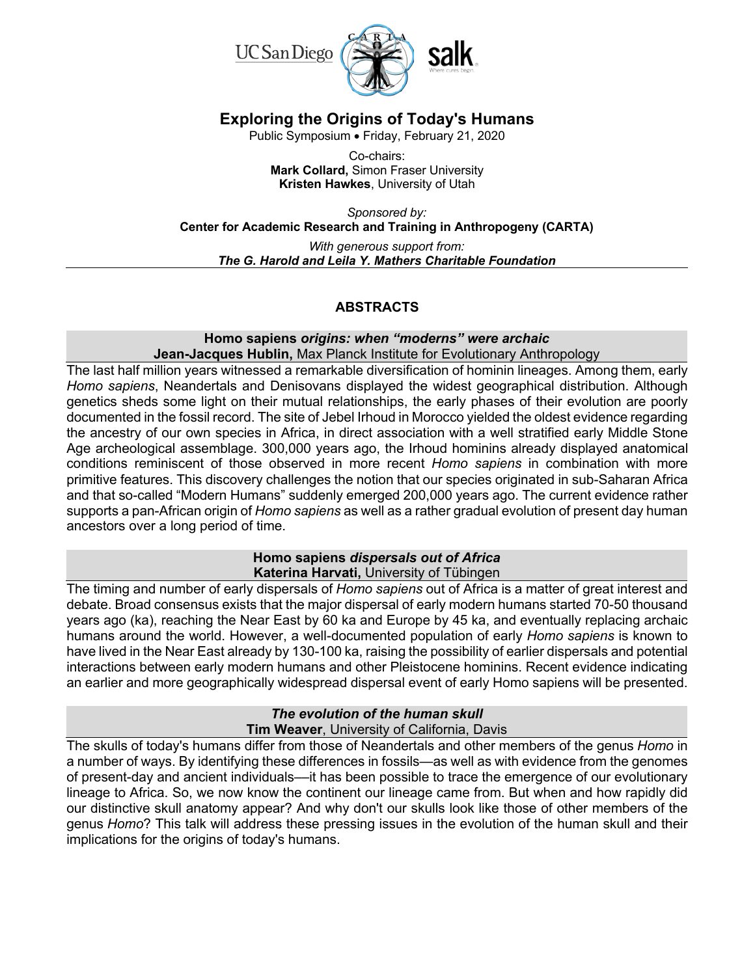

# **Exploring the Origins of Today's Humans**

Public Symposium • Friday, February 21, 2020

Co-chairs: **Mark Collard,** Simon Fraser University **Kristen Hawkes**, University of Utah

*Sponsored by:*  **Center for Academic Research and Training in Anthropogeny (CARTA)** *With generous support from: The G. Harold and Leila Y. Mathers Charitable Foundation*

# **ABSTRACTS**

#### **Homo sapiens** *origins: when "moderns" were archaic* **Jean-Jacques Hublin,** Max Planck Institute for Evolutionary Anthropology

The last half million years witnessed a remarkable diversification of hominin lineages. Among them, early *Homo sapiens*, Neandertals and Denisovans displayed the widest geographical distribution. Although genetics sheds some light on their mutual relationships, the early phases of their evolution are poorly documented in the fossil record. The site of Jebel Irhoud in Morocco yielded the oldest evidence regarding the ancestry of our own species in Africa, in direct association with a well stratified early Middle Stone Age archeological assemblage. 300,000 years ago, the Irhoud hominins already displayed anatomical conditions reminiscent of those observed in more recent *Homo sapiens* in combination with more primitive features. This discovery challenges the notion that our species originated in sub-Saharan Africa and that so-called "Modern Humans" suddenly emerged 200,000 years ago. The current evidence rather supports a pan-African origin of *Homo sapiens* as well as a rather gradual evolution of present day human ancestors over a long period of time.

# **Homo sapiens** *dispersals out of Africa* **Katerina Harvati,** University of Tübingen

The timing and number of early dispersals of *Homo sapiens* out of Africa is a matter of great interest and debate. Broad consensus exists that the major dispersal of early modern humans started 70-50 thousand years ago (ka), reaching the Near East by 60 ka and Europe by 45 ka, and eventually replacing archaic humans around the world. However, a well-documented population of early *Homo sapiens* is known to have lived in the Near East already by 130-100 ka, raising the possibility of earlier dispersals and potential interactions between early modern humans and other Pleistocene hominins. Recent evidence indicating an earlier and more geographically widespread dispersal event of early Homo sapiens will be presented.

# *The evolution of the human skull*

**Tim Weaver**, University of California, Davis

The skulls of today's humans differ from those of Neandertals and other members of the genus *Homo* in a number of ways. By identifying these differences in fossils—as well as with evidence from the genomes of present-day and ancient individuals––it has been possible to trace the emergence of our evolutionary lineage to Africa. So, we now know the continent our lineage came from. But when and how rapidly did our distinctive skull anatomy appear? And why don't our skulls look like those of other members of the genus *Homo*? This talk will address these pressing issues in the evolution of the human skull and their implications for the origins of today's humans.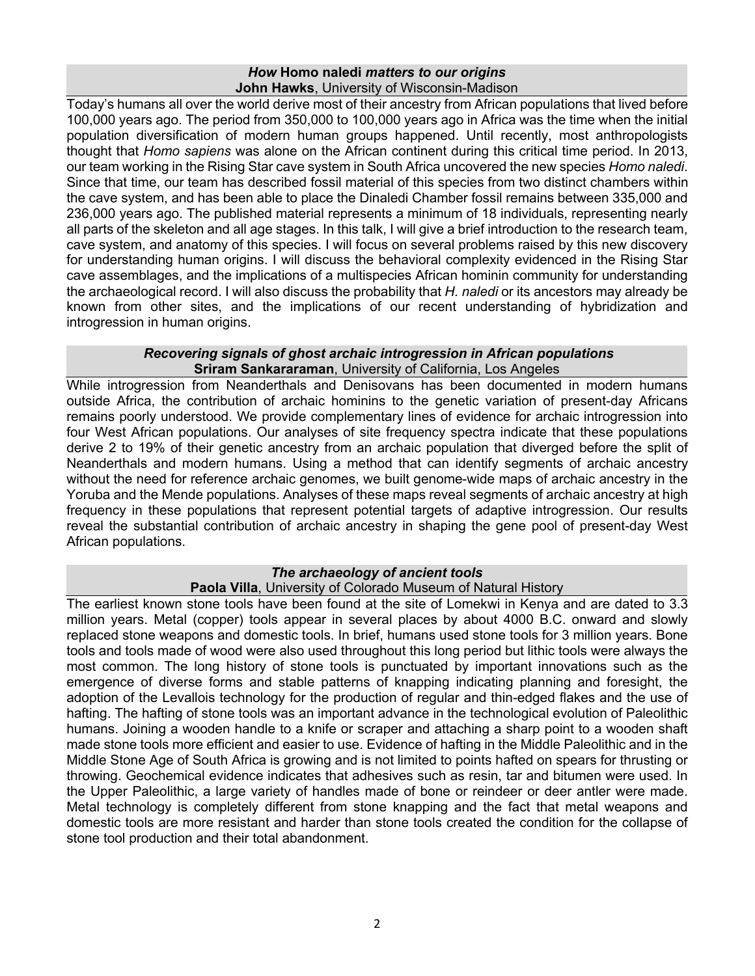### *How* **Homo naledi** *matters to our origins* **John Hawks**, University of Wisconsin-Madison

Today's humans all over the world derive most of their ancestry from African populations that lived before 100,000 years ago. The period from 350,000 to 100,000 years ago in Africa was the time when the initial population diversification of modern human groups happened. Until recently, most anthropologists thought that *Homo sapiens* was alone on the African continent during this critical time period. In 2013, our team working in the Rising Star cave system in South Africa uncovered the new species *Homo naledi*. Since that time, our team has described fossil material of this species from two distinct chambers within the cave system, and has been able to place the Dinaledi Chamber fossil remains between 335,000 and 236,000 years ago. The published material represents a minimum of 18 individuals, representing nearly all parts of the skeleton and all age stages. In this talk, I will give a brief introduction to the research team, cave system, and anatomy of this species. I will focus on several problems raised by this new discovery for understanding human origins. I will discuss the behavioral complexity evidenced in the Rising Star cave assemblages, and the implications of a multispecies African hominin community for understanding the archaeological record. I will also discuss the probability that *H. naledi* or its ancestors may already be known from other sites, and the implications of our recent understanding of hybridization and introgression in human origins.

### *Recovering signals of ghost archaic introgression in African populations* **Sriram Sankararaman**, University of California, Los Angeles

While introgression from Neanderthals and Denisovans has been documented in modern humans outside Africa, the contribution of archaic hominins to the genetic variation of present-day Africans remains poorly understood. We provide complementary lines of evidence for archaic introgression into four West African populations. Our analyses of site frequency spectra indicate that these populations derive 2 to 19% of their genetic ancestry from an archaic population that diverged before the split of Neanderthals and modern humans. Using a method that can identify segments of archaic ancestry without the need for reference archaic genomes, we built genome-wide maps of archaic ancestry in the Yoruba and the Mende populations. Analyses of these maps reveal segments of archaic ancestry at high frequency in these populations that represent potential targets of adaptive introgression. Our results reveal the substantial contribution of archaic ancestry in shaping the gene pool of present-day West African populations.

# *The archaeology of ancient tools*

# **Paola Villa**, University of Colorado Museum of Natural History

The earliest known stone tools have been found at the site of Lomekwi in Kenya and are dated to 3.3 million years. Metal (copper) tools appear in several places by about 4000 B.C. onward and slowly replaced stone weapons and domestic tools. In brief, humans used stone tools for 3 million years. Bone tools and tools made of wood were also used throughout this long period but lithic tools were always the most common. The long history of stone tools is punctuated by important innovations such as the emergence of diverse forms and stable patterns of knapping indicating planning and foresight, the adoption of the Levallois technology for the production of regular and thin-edged flakes and the use of hafting. The hafting of stone tools was an important advance in the technological evolution of Paleolithic humans. Joining a wooden handle to a knife or scraper and attaching a sharp point to a wooden shaft made stone tools more efficient and easier to use. Evidence of hafting in the Middle Paleolithic and in the Middle Stone Age of South Africa is growing and is not limited to points hafted on spears for thrusting or throwing. Geochemical evidence indicates that adhesives such as resin, tar and bitumen were used. In the Upper Paleolithic, a large variety of handles made of bone or reindeer or deer antler were made. Metal technology is completely different from stone knapping and the fact that metal weapons and domestic tools are more resistant and harder than stone tools created the condition for the collapse of stone tool production and their total abandonment.